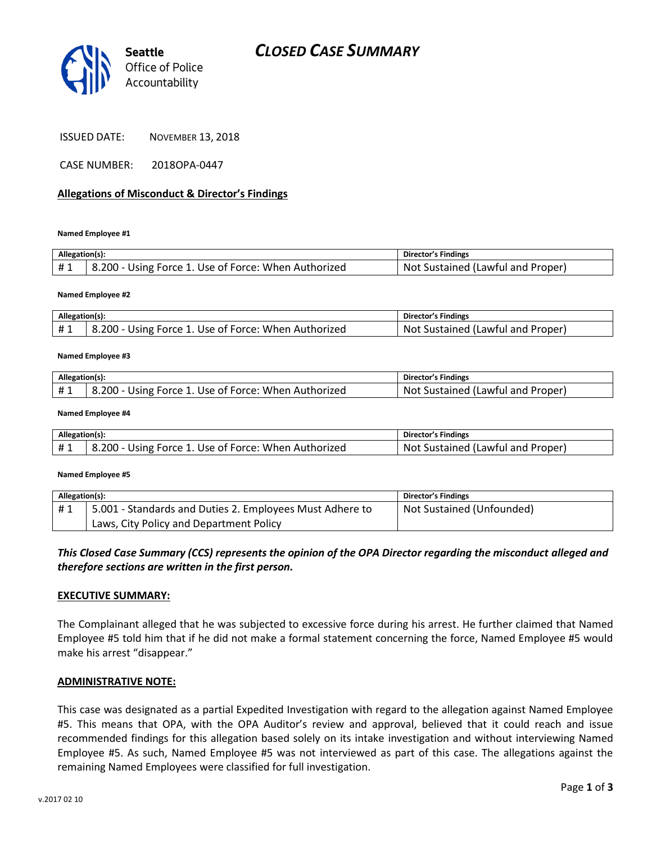

ISSUED DATE: NOVEMBER 13, 2018

CASE NUMBER: 2018OPA-0447

## **Allegations of Misconduct & Director's Findings**

**Named Employee #1**

| Allegation(s): |                                                      | Director's Findings                     |
|----------------|------------------------------------------------------|-----------------------------------------|
| #1             | 8.200 - Using Force 1. Use of Force: When Authorized | t Sustained (Lawful and Proper)<br>Not. |

**Named Employee #2**

| Allegation(s): |                                                      | Director's Findings               |
|----------------|------------------------------------------------------|-----------------------------------|
|                | 8.200 - Using Force 1. Use of Force: When Authorized | Not Sustained (Lawful and Proper) |

#### **Named Employee #3**

| Allegation(s): |                                                             | Director's Findings                     |
|----------------|-------------------------------------------------------------|-----------------------------------------|
| #1             | - Using Force 1. Use of Force: When Authorized<br>$8.200 -$ | : Sustained (Lawful and Proper)<br>-Not |

#### **Named Employee #4**

| Allegation(s): |                                                      | Director's Findings                     |
|----------------|------------------------------------------------------|-----------------------------------------|
|                | 8.200 - Using Force 1. Use of Force: When Authorized | t Sustained (Lawful and Proper)<br>Not. |

#### **Named Employee #5**

| Allegation(s): |                                                          | <b>Director's Findings</b> |
|----------------|----------------------------------------------------------|----------------------------|
| #1             | 5.001 - Standards and Duties 2. Employees Must Adhere to | Not Sustained (Unfounded)  |
|                | Laws, City Policy and Department Policy                  |                            |

## *This Closed Case Summary (CCS) represents the opinion of the OPA Director regarding the misconduct alleged and therefore sections are written in the first person.*

### **EXECUTIVE SUMMARY:**

The Complainant alleged that he was subjected to excessive force during his arrest. He further claimed that Named Employee #5 told him that if he did not make a formal statement concerning the force, Named Employee #5 would make his arrest "disappear."

### **ADMINISTRATIVE NOTE:**

This case was designated as a partial Expedited Investigation with regard to the allegation against Named Employee #5. This means that OPA, with the OPA Auditor's review and approval, believed that it could reach and issue recommended findings for this allegation based solely on its intake investigation and without interviewing Named Employee #5. As such, Named Employee #5 was not interviewed as part of this case. The allegations against the remaining Named Employees were classified for full investigation.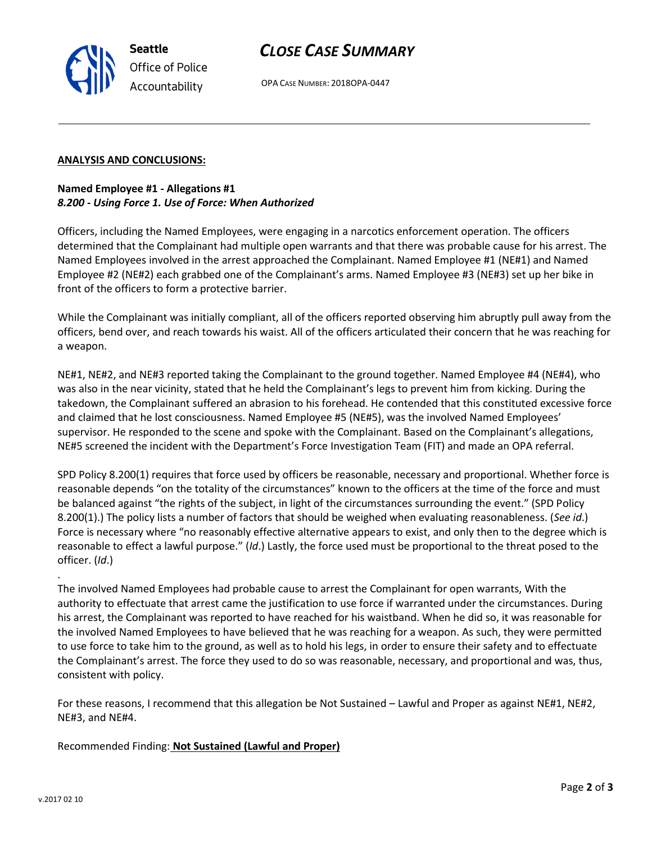OPA CASE NUMBER: 2018OPA-0447

## **ANALYSIS AND CONCLUSIONS:**

**Seattle**

*Office of Police Accountability*

## **Named Employee #1 - Allegations #1** *8.200 - Using Force 1. Use of Force: When Authorized*

Officers, including the Named Employees, were engaging in a narcotics enforcement operation. The officers determined that the Complainant had multiple open warrants and that there was probable cause for his arrest. The Named Employees involved in the arrest approached the Complainant. Named Employee #1 (NE#1) and Named Employee #2 (NE#2) each grabbed one of the Complainant's arms. Named Employee #3 (NE#3) set up her bike in front of the officers to form a protective barrier.

While the Complainant was initially compliant, all of the officers reported observing him abruptly pull away from the officers, bend over, and reach towards his waist. All of the officers articulated their concern that he was reaching for a weapon.

NE#1, NE#2, and NE#3 reported taking the Complainant to the ground together. Named Employee #4 (NE#4), who was also in the near vicinity, stated that he held the Complainant's legs to prevent him from kicking. During the takedown, the Complainant suffered an abrasion to his forehead. He contended that this constituted excessive force and claimed that he lost consciousness. Named Employee #5 (NE#5), was the involved Named Employees' supervisor. He responded to the scene and spoke with the Complainant. Based on the Complainant's allegations, NE#5 screened the incident with the Department's Force Investigation Team (FIT) and made an OPA referral.

SPD Policy 8.200(1) requires that force used by officers be reasonable, necessary and proportional. Whether force is reasonable depends "on the totality of the circumstances" known to the officers at the time of the force and must be balanced against "the rights of the subject, in light of the circumstances surrounding the event." (SPD Policy 8.200(1).) The policy lists a number of factors that should be weighed when evaluating reasonableness. (*See id*.) Force is necessary where "no reasonably effective alternative appears to exist, and only then to the degree which is reasonable to effect a lawful purpose." (*Id*.) Lastly, the force used must be proportional to the threat posed to the officer. (*Id*.)

The involved Named Employees had probable cause to arrest the Complainant for open warrants, With the authority to effectuate that arrest came the justification to use force if warranted under the circumstances. During his arrest, the Complainant was reported to have reached for his waistband. When he did so, it was reasonable for the involved Named Employees to have believed that he was reaching for a weapon. As such, they were permitted to use force to take him to the ground, as well as to hold his legs, in order to ensure their safety and to effectuate the Complainant's arrest. The force they used to do so was reasonable, necessary, and proportional and was, thus, consistent with policy.

For these reasons, I recommend that this allegation be Not Sustained – Lawful and Proper as against NE#1, NE#2, NE#3, and NE#4.

Recommended Finding: **Not Sustained (Lawful and Proper)**

.